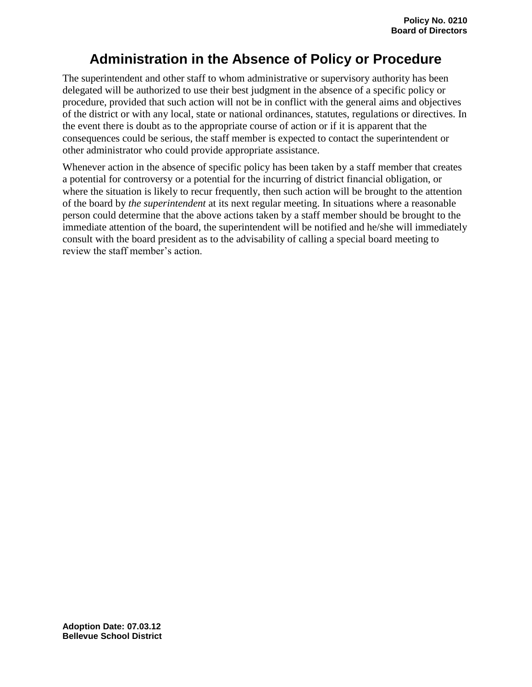## **Administration in the Absence of Policy or Procedure**

The superintendent and other staff to whom administrative or supervisory authority has been delegated will be authorized to use their best judgment in the absence of a specific policy or procedure, provided that such action will not be in conflict with the general aims and objectives of the district or with any local, state or national ordinances, statutes, regulations or directives. In the event there is doubt as to the appropriate course of action or if it is apparent that the consequences could be serious, the staff member is expected to contact the superintendent or other administrator who could provide appropriate assistance.

Whenever action in the absence of specific policy has been taken by a staff member that creates a potential for controversy or a potential for the incurring of district financial obligation, or where the situation is likely to recur frequently, then such action will be brought to the attention of the board by *the superintendent* at its next regular meeting. In situations where a reasonable person could determine that the above actions taken by a staff member should be brought to the immediate attention of the board, the superintendent will be notified and he/she will immediately consult with the board president as to the advisability of calling a special board meeting to review the staff member's action.